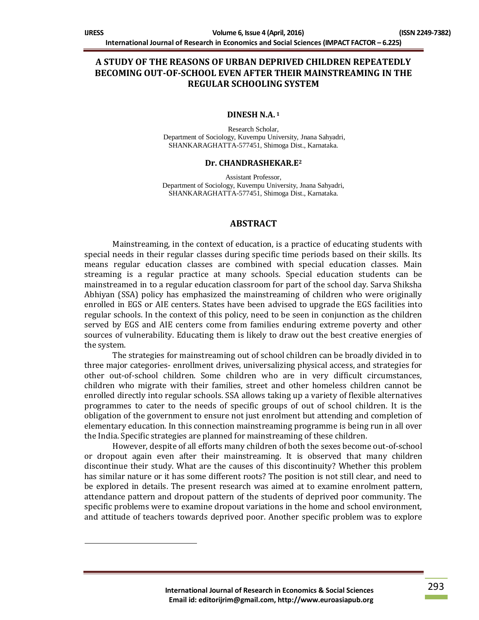$\overline{a}$ 

# **A STUDY OF THE REASONS OF URBAN DEPRIVED CHILDREN REPEATEDLY BECOMING OUT-OF-SCHOOL EVEN AFTER THEIR MAINSTREAMING IN THE REGULAR SCHOOLING SYSTEM**

#### **DINESH N.A. <sup>1</sup>**

Research Scholar, Department of Sociology, Kuvempu University, Jnana Sahyadri, SHANKARAGHATTA-577451, Shimoga Dist., Karnataka.

#### **Dr. CHANDRASHEKAR.E<sup>2</sup>**

Assistant Professor, Department of Sociology, Kuvempu University, Jnana Sahyadri, SHANKARAGHATTA-577451, Shimoga Dist., Karnataka.

#### **ABSTRACT**

Mainstreaming, in the context of education, is a practice of educating students with special needs in their regular classes during specific time periods based on their skills. Its means regular education classes are combined with special education classes. Main streaming is a regular practice at many schools. Special education students can be mainstreamed in to a regular education classroom for part of the school day. Sarva Shiksha Abhiyan (SSA) policy has emphasized the mainstreaming of children who were originally enrolled in EGS or AIE centers. States have been advised to upgrade the EGS facilities into regular schools. In the context of this policy, need to be seen in conjunction as the children served by EGS and AIE centers come from families enduring extreme poverty and other sources of vulnerability. Educating them is likely to draw out the best creative energies of the system.

The strategies for mainstreaming out of school children can be broadly divided in to three major categories- enrollment drives, universalizing physical access, and strategies for other out-of-school children. Some children who are in very difficult circumstances, children who migrate with their families, street and other homeless children cannot be enrolled directly into regular schools. SSA allows taking up a variety of flexible alternatives programmes to cater to the needs of specific groups of out of school children. It is the obligation of the government to ensure not just enrolment but attending and completion of elementary education. In this connection mainstreaming programme is being run in all over the India. Specific strategies are planned for mainstreaming of these children.

However, despite of all efforts many children of both the sexes become out-of-school or dropout again even after their mainstreaming. It is observed that many children discontinue their study. What are the causes of this discontinuity? Whether this problem has similar nature or it has some different roots? The position is not still clear, and need to be explored in details. The present research was aimed at to examine enrolment pattern, attendance pattern and dropout pattern of the students of deprived poor community. The specific problems were to examine dropout variations in the home and school environment, and attitude of teachers towards deprived poor. Another specific problem was to explore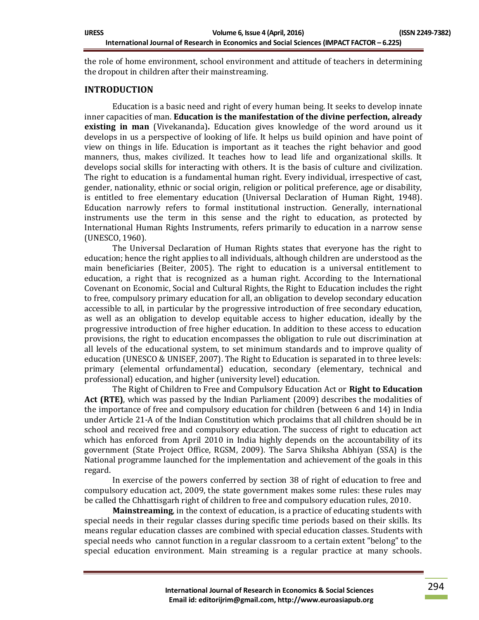the role of home environment, school environment and attitude of teachers in determining the dropout in children after their mainstreaming.

## **INTRODUCTION**

Education is a basic need and right of every human being. It seeks to develop innate inner capacities of man. **Education is the manifestation of the divine perfection, already existing in man** (Vivekananda)**.** Education gives knowledge of the word around us it develops in us a perspective of looking of life. It helps us build opinion and have point of view on things in life. Education is important as it teaches the right behavior and good manners, thus, makes civilized. It teaches how to lead life and organizational skills. It develops social skills for interacting with others. It is the basis of culture and civilization. The right to education is a fundamental human right. Every individual, irrespective of cast, gender, nationality, ethnic or social origin, religion or political preference, age or disability, is entitled to free elementary education (Universal Declaration of Human Right, 1948). Education narrowly refers to formal institutional instruction. Generally, international instruments use the term in this sense and the right to education, as protected by International Human Rights Instruments, refers primarily to education in a narrow sense (UNESCO, 1960).

The Universal Declaration of Human Rights states that everyone has the right to education; hence the right applies to all individuals, although children are understood as the main beneficiaries (Beiter, 2005). The right to education is a universal entitlement to education, a right that is recognized as a human right. According to the International Covenant on Economic, Social and Cultural Rights, the Right to Education includes the right to free, compulsory primary education for all, an obligation to develop secondary education accessible to all, in particular by the progressive introduction of free secondary education, as well as an obligation to develop equitable access to higher education, ideally by the progressive introduction of free higher education. In addition to these access to education provisions, the right to education encompasses the obligation to rule out discrimination at all levels of the educational system, to set minimum standards and to improve quality of education (UNESCO & UNISEF, 2007). The Right to Education is separated in to three levels: primary (elemental orfundamental) education, secondary (elementary, technical and professional) education, and higher (university level) education.

The Right of Children to Free and Compulsory Education Act or **Right to Education Act (RTE)**, which was passed by the Indian Parliament (2009) describes the modalities of the importance of free and compulsory education for children (between 6 and 14) in India under Article 21-A of the Indian Constitution which proclaims that all children should be in school and received free and compulsory education. The success of right to education act which has enforced from April 2010 in India highly depends on the accountability of its government (State Project Office, RGSM, 2009). The Sarva Shiksha Abhiyan (SSA) is the National programme launched for the implementation and achievement of the goals in this regard.

In exercise of the powers conferred by section 38 of right of education to free and compulsory education act, 2009, the state government makes some rules: these rules may be called the Chhattisgarh right of children to free and compulsory education rules, 2010.

**Mainstreaming**, in the context of education, is a practice of educating students with special needs in their regular classes during specific time periods based on their skills. Its means regular education classes are combined with special education classes. Students with special needs who cannot function in a regular classroom to a certain extent "belong" to the special education environment. Main streaming is a regular practice at many schools.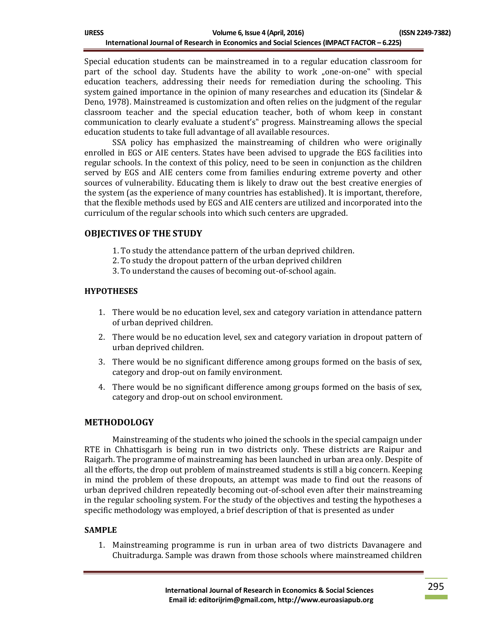| <b>IJRESS</b> | Volume 6, Issue 4 (April, 2016)                                                            | (ISSN 2249-7382) |  |
|---------------|--------------------------------------------------------------------------------------------|------------------|--|
|               | International Journal of Research in Economics and Social Sciences (IMPACT FACTOR – 6.225) |                  |  |

Special education students can be mainstreamed in to a regular education classroom for part of the school day. Students have the ability to work "one-on-one" with special education teachers, addressing their needs for remediation during the schooling. This system gained importance in the opinion of many researches and education its (Sindelar & Deno, 1978). Mainstreamed is customization and often relies on the judgment of the regular classroom teacher and the special education teacher, both of whom keep in constant communication to clearly evaluate a student's" progress. Mainstreaming allows the special education students to take full advantage of all available resources.

SSA policy has emphasized the mainstreaming of children who were originally enrolled in EGS or AIE centers. States have been advised to upgrade the EGS facilities into regular schools. In the context of this policy, need to be seen in conjunction as the children served by EGS and AIE centers come from families enduring extreme poverty and other sources of vulnerability. Educating them is likely to draw out the best creative energies of the system (as the experience of many countries has established). It is important, therefore, that the flexible methods used by EGS and AIE centers are utilized and incorporated into the curriculum of the regular schools into which such centers are upgraded.

# **OBJECTIVES OF THE STUDY**

- 1. To study the attendance pattern of the urban deprived children.
- 2. To study the dropout pattern of the urban deprived children
- 3. To understand the causes of becoming out-of-school again.

#### **HYPOTHESES**

- 1. There would be no education level, sex and category variation in attendance pattern of urban deprived children.
- 2. There would be no education level, sex and category variation in dropout pattern of urban deprived children.
- 3. There would be no significant difference among groups formed on the basis of sex, category and drop-out on family environment.
- 4. There would be no significant difference among groups formed on the basis of sex, category and drop-out on school environment.

## **METHODOLOGY**

Mainstreaming of the students who joined the schools in the special campaign under RTE in Chhattisgarh is being run in two districts only. These districts are Raipur and Raigarh. The programme of mainstreaming has been launched in urban area only. Despite of all the efforts, the drop out problem of mainstreamed students is still a big concern. Keeping in mind the problem of these dropouts, an attempt was made to find out the reasons of urban deprived children repeatedly becoming out-of-school even after their mainstreaming in the regular schooling system. For the study of the objectives and testing the hypotheses a specific methodology was employed, a brief description of that is presented as under

## **SAMPLE**

1. Mainstreaming programme is run in urban area of two districts Davanagere and Chuitradurga. Sample was drawn from those schools where mainstreamed children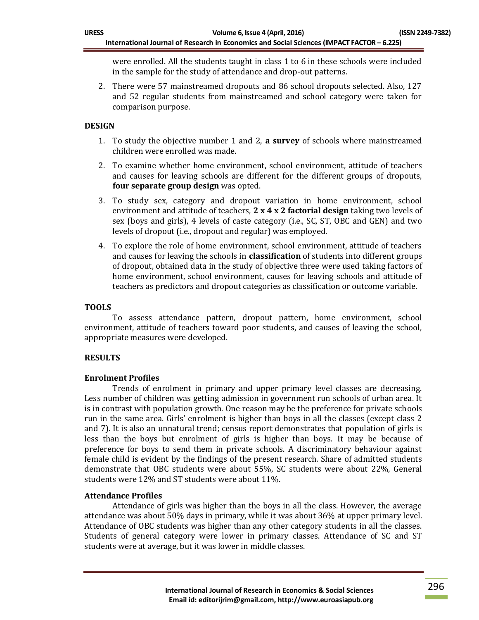were enrolled. All the students taught in class 1 to 6 in these schools were included in the sample for the study of attendance and drop-out patterns.

2. There were 57 mainstreamed dropouts and 86 school dropouts selected. Also, 127 and 52 regular students from mainstreamed and school category were taken for comparison purpose.

## **DESIGN**

- 1. To study the objective number 1 and 2, **a survey** of schools where mainstreamed children were enrolled was made.
- 2. To examine whether home environment, school environment, attitude of teachers and causes for leaving schools are different for the different groups of dropouts, **four separate group design** was opted.
- 3. To study sex, category and dropout variation in home environment, school environment and attitude of teachers, **2 x 4 x 2 factorial design** taking two levels of sex (boys and girls), 4 levels of caste category (i.e., SC, ST, OBC and GEN) and two levels of dropout (i.e., dropout and regular) was employed.
- 4. To explore the role of home environment, school environment, attitude of teachers and causes for leaving the schools in **classification** of students into different groups of dropout, obtained data in the study of objective three were used taking factors of home environment, school environment, causes for leaving schools and attitude of teachers as predictors and dropout categories as classification or outcome variable.

## **TOOLS**

To assess attendance pattern, dropout pattern, home environment, school environment, attitude of teachers toward poor students, and causes of leaving the school, appropriate measures were developed.

## **RESULTS**

## **Enrolment Profiles**

Trends of enrolment in primary and upper primary level classes are decreasing. Less number of children was getting admission in government run schools of urban area. It is in contrast with population growth. One reason may be the preference for private schools run in the same area. Girls' enrolment is higher than boys in all the classes (except class 2 and 7). It is also an unnatural trend; census report demonstrates that population of girls is less than the boys but enrolment of girls is higher than boys. It may be because of preference for boys to send them in private schools. A discriminatory behaviour against female child is evident by the findings of the present research. Share of admitted students demonstrate that OBC students were about 55%, SC students were about 22%, General students were 12% and ST students were about 11%.

# **Attendance Profiles**

Attendance of girls was higher than the boys in all the class. However, the average attendance was about 50% days in primary, while it was about 36% at upper primary level. Attendance of OBC students was higher than any other category students in all the classes. Students of general category were lower in primary classes. Attendance of SC and ST students were at average, but it was lower in middle classes.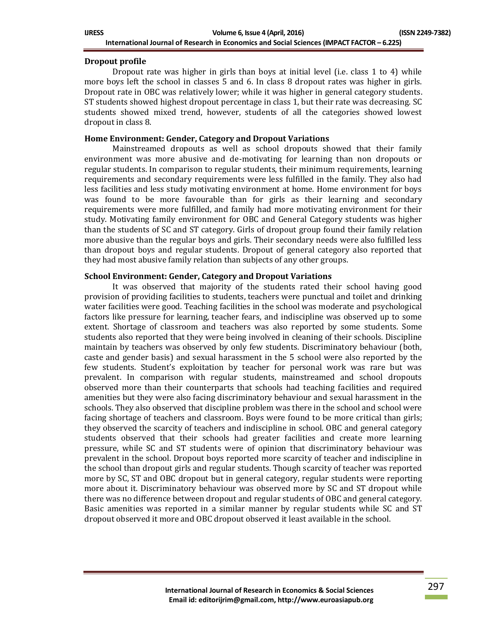| <b>IJRESS</b> | Volume 6, Issue 4 (April, 2016)                                                            | (ISSN 2249-7382) |  |
|---------------|--------------------------------------------------------------------------------------------|------------------|--|
|               | International Journal of Research in Economics and Social Sciences (IMPACT FACTOR - 6.225) |                  |  |

## **Dropout profile**

Dropout rate was higher in girls than boys at initial level (i.e. class 1 to 4) while more boys left the school in classes 5 and 6. In class 8 dropout rates was higher in girls. Dropout rate in OBC was relatively lower; while it was higher in general category students. ST students showed highest dropout percentage in class 1, but their rate was decreasing. SC students showed mixed trend, however, students of all the categories showed lowest dropout in class 8.

#### **Home Environment: Gender, Category and Dropout Variations**

Mainstreamed dropouts as well as school dropouts showed that their family environment was more abusive and de-motivating for learning than non dropouts or regular students. In comparison to regular students, their minimum requirements, learning requirements and secondary requirements were less fulfilled in the family. They also had less facilities and less study motivating environment at home. Home environment for boys was found to be more favourable than for girls as their learning and secondary requirements were more fulfilled, and family had more motivating environment for their study. Motivating family environment for OBC and General Category students was higher than the students of SC and ST category. Girls of dropout group found their family relation more abusive than the regular boys and girls. Their secondary needs were also fulfilled less than dropout boys and regular students. Dropout of general category also reported that they had most abusive family relation than subjects of any other groups.

#### **School Environment: Gender, Category and Dropout Variations**

It was observed that majority of the students rated their school having good provision of providing facilities to students, teachers were punctual and toilet and drinking water facilities were good. Teaching facilities in the school was moderate and psychological factors like pressure for learning, teacher fears, and indiscipline was observed up to some extent. Shortage of classroom and teachers was also reported by some students. Some students also reported that they were being involved in cleaning of their schools. Discipline maintain by teachers was observed by only few students. Discriminatory behaviour (both, caste and gender basis) and sexual harassment in the 5 school were also reported by the few students. Student's exploitation by teacher for personal work was rare but was prevalent. In comparison with regular students, mainstreamed and school dropouts observed more than their counterparts that schools had teaching facilities and required amenities but they were also facing discriminatory behaviour and sexual harassment in the schools. They also observed that discipline problem was there in the school and school were facing shortage of teachers and classroom. Boys were found to be more critical than girls; they observed the scarcity of teachers and indiscipline in school. OBC and general category students observed that their schools had greater facilities and create more learning pressure, while SC and ST students were of opinion that discriminatory behaviour was prevalent in the school. Dropout boys reported more scarcity of teacher and indiscipline in the school than dropout girls and regular students. Though scarcity of teacher was reported more by SC, ST and OBC dropout but in general category, regular students were reporting more about it. Discriminatory behaviour was observed more by SC and ST dropout while there was no difference between dropout and regular students of OBC and general category. Basic amenities was reported in a similar manner by regular students while SC and ST dropout observed it more and OBC dropout observed it least available in the school.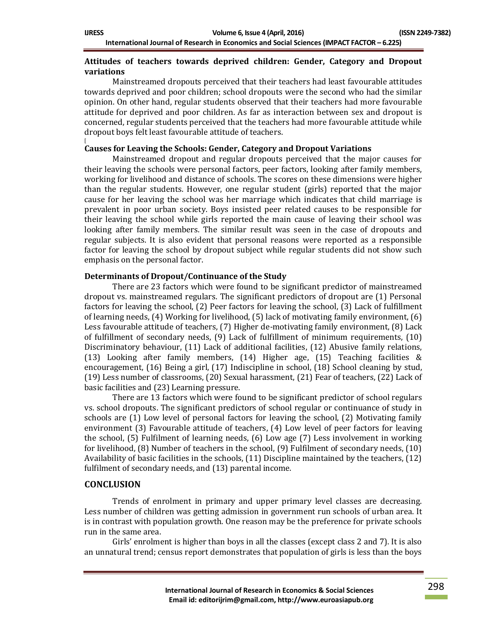## **Attitudes of teachers towards deprived children: Gender, Category and Dropout variations**

Mainstreamed dropouts perceived that their teachers had least favourable attitudes towards deprived and poor children; school dropouts were the second who had the similar opinion. On other hand, regular students observed that their teachers had more favourable attitude for deprived and poor children. As far as interaction between sex and dropout is concerned, regular students perceived that the teachers had more favourable attitude while dropout boys felt least favourable attitude of teachers.

#### [ **Causes for Leaving the Schools: Gender, Category and Dropout Variations**

Mainstreamed dropout and regular dropouts perceived that the major causes for their leaving the schools were personal factors, peer factors, looking after family members, working for livelihood and distance of schools. The scores on these dimensions were higher than the regular students. However, one regular student (girls) reported that the major cause for her leaving the school was her marriage which indicates that child marriage is prevalent in poor urban society. Boys insisted peer related causes to be responsible for their leaving the school while girls reported the main cause of leaving their school was looking after family members. The similar result was seen in the case of dropouts and regular subjects. It is also evident that personal reasons were reported as a responsible factor for leaving the school by dropout subject while regular students did not show such emphasis on the personal factor.

## **Determinants of Dropout/Continuance of the Study**

There are 23 factors which were found to be significant predictor of mainstreamed dropout vs. mainstreamed regulars. The significant predictors of dropout are (1) Personal factors for leaving the school, (2) Peer factors for leaving the school, (3) Lack of fulfillment of learning needs, (4) Working for livelihood, (5) lack of motivating family environment, (6) Less favourable attitude of teachers, (7) Higher de-motivating family environment, (8) Lack of fulfillment of secondary needs, (9) Lack of fulfillment of minimum requirements, (10) Discriminatory behaviour, (11) Lack of additional facilities, (12) Abusive family relations, (13) Looking after family members, (14) Higher age, (15) Teaching facilities & encouragement, (16) Being a girl, (17) Indiscipline in school, (18) School cleaning by stud, (19) Less number of classrooms, (20) Sexual harassment, (21) Fear of teachers, (22) Lack of basic facilities and (23) Learning pressure.

There are 13 factors which were found to be significant predictor of school regulars vs. school dropouts. The significant predictors of school regular or continuance of study in schools are (1) Low level of personal factors for leaving the school, (2) Motivating family environment (3) Favourable attitude of teachers, (4) Low level of peer factors for leaving the school, (5) Fulfilment of learning needs, (6) Low age (7) Less involvement in working for livelihood, (8) Number of teachers in the school, (9) Fulfilment of secondary needs, (10) Availability of basic facilities in the schools, (11) Discipline maintained by the teachers, (12) fulfilment of secondary needs, and (13) parental income.

# **CONCLUSION**

Trends of enrolment in primary and upper primary level classes are decreasing. Less number of children was getting admission in government run schools of urban area. It is in contrast with population growth. One reason may be the preference for private schools run in the same area.

Girls' enrolment is higher than boys in all the classes (except class 2 and 7). It is also an unnatural trend; census report demonstrates that population of girls is less than the boys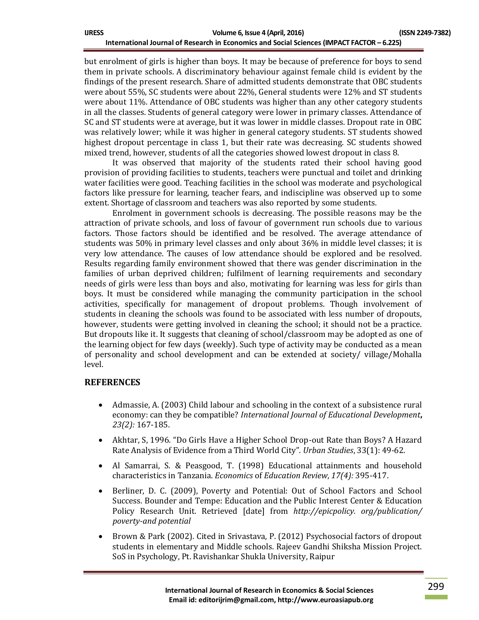but enrolment of girls is higher than boys. It may be because of preference for boys to send them in private schools. A discriminatory behaviour against female child is evident by the findings of the present research. Share of admitted students demonstrate that OBC students were about 55%, SC students were about 22%, General students were 12% and ST students were about 11%. Attendance of OBC students was higher than any other category students in all the classes. Students of general category were lower in primary classes. Attendance of SC and ST students were at average, but it was lower in middle classes. Dropout rate in OBC was relatively lower; while it was higher in general category students. ST students showed highest dropout percentage in class 1, but their rate was decreasing. SC students showed mixed trend, however, students of all the categories showed lowest dropout in class 8.

It was observed that majority of the students rated their school having good provision of providing facilities to students, teachers were punctual and toilet and drinking water facilities were good. Teaching facilities in the school was moderate and psychological factors like pressure for learning, teacher fears, and indiscipline was observed up to some extent. Shortage of classroom and teachers was also reported by some students.

Enrolment in government schools is decreasing. The possible reasons may be the attraction of private schools, and loss of favour of government run schools due to various factors. Those factors should be identified and be resolved. The average attendance of students was 50% in primary level classes and only about 36% in middle level classes; it is very low attendance. The causes of low attendance should be explored and be resolved. Results regarding family environment showed that there was gender discrimination in the families of urban deprived children; fulfilment of learning requirements and secondary needs of girls were less than boys and also, motivating for learning was less for girls than boys. It must be considered while managing the community participation in the school activities, specifically for management of dropout problems. Though involvement of students in cleaning the schools was found to be associated with less number of dropouts, however, students were getting involved in cleaning the school; it should not be a practice. But dropouts like it. It suggests that cleaning of school/classroom may be adopted as one of the learning object for few days (weekly). Such type of activity may be conducted as a mean of personality and school development and can be extended at society/ village/Mohalla level.

# **REFERENCES**

- Admassie, A. (2003) Child labour and schooling in the context of a subsistence rural economy: can they be compatible? *International Journal of Educational Development***,**  *23(2):* 167-185.
- Akhtar, S, 1996. "Do Girls Have a Higher School Drop-out Rate than Boys? A Hazard Rate Analysis of Evidence from a Third World City". *Urban Studies*, 33(1): 49-62.
- Al Samarrai, S. & Peasgood, T. (1998) Educational attainments and household characteristics in Tanzania. *Economics* of *Education Review*, *17(4):* 395-417.
- Berliner, D. C. (2009), Poverty and Potential: Out of School Factors and School Success. Bounder and Tempe: Education and the Public Interest Center & Education Policy Research Unit. Retrieved [date] from *http://epicpolicy. org/publication/ poverty-and potential*
- Brown & Park (2002). Cited in Srivastava, P. (2012) Psychosocial factors of dropout students in elementary and Middle schools. Rajeev Gandhi Shiksha Mission Project. SoS in Psychology, Pt. Ravishankar Shukla University, Raipur